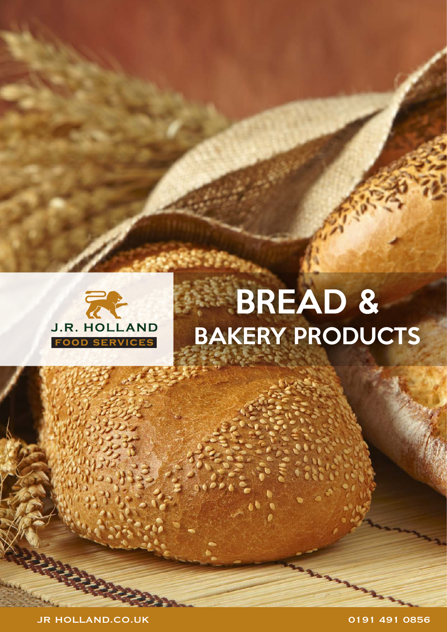

JR HOLLAND.CO.UK 0191 491 0856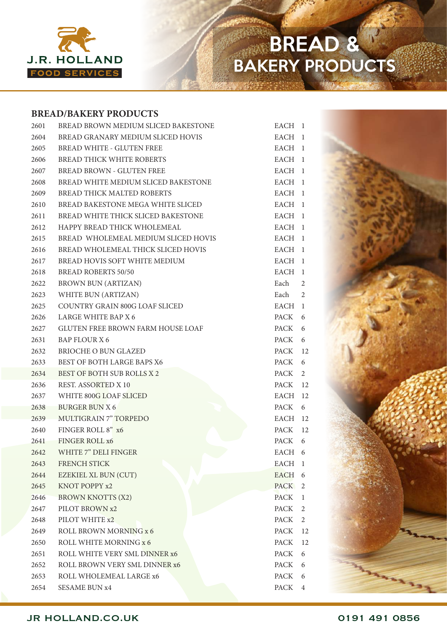

#### **BREAD/BAKERY PRODUCTS**

| 2601 | BREAD BROWN MEDIUM SLICED BAKESTONE      | EACH 1            |              |
|------|------------------------------------------|-------------------|--------------|
| 2604 | BREAD GRANARY MEDIUM SLICED HOVIS        | EACH 1            |              |
| 2605 | <b>BREAD WHITE - GLUTEN FREE</b>         | EACH 1            |              |
| 2606 | <b>BREAD THICK WHITE ROBERTS</b>         | EACH 1            |              |
| 2607 | <b>BREAD BROWN - GLUTEN FREE</b>         | EACH 1            |              |
| 2608 | BREAD WHITE MEDIUM SLICED BAKESTONE      | EACH 1            |              |
| 2609 | BREAD THICK MALTED ROBERTS               | EACH 1            |              |
| 2610 | BREAD BAKESTONE MEGA WHITE SLICED        | EACH 1            |              |
| 2611 | BREAD WHITE THICK SLICED BAKESTONE       | EACH 1            |              |
| 2612 | HAPPY BREAD THICK WHOLEMEAL              | EACH 1            |              |
| 2615 | BREAD WHOLEMEAL MEDIUM SLICED HOVIS      | EACH 1            |              |
| 2616 | BREAD WHOLEMEAL THICK SLICED HOVIS       | EACH 1            |              |
| 2617 | BREAD HOVIS SOFT WHITE MEDIUM            | EACH 1            |              |
| 2618 | <b>BREAD ROBERTS 50/50</b>               | EACH 1            |              |
| 2622 | <b>BROWN BUN (ARTIZAN)</b>               | Each              | 2            |
| 2623 | WHITE BUN (ARTIZAN)                      | Each              | 2            |
| 2625 | COUNTRY GRAIN 800G LOAF SLICED           | EACH 1            |              |
| 2626 | LARGE WHITE BAP X 6                      | PACK              | 6            |
| 2627 | <b>GLUTEN FREE BROWN FARM HOUSE LOAF</b> | PACK 6            |              |
| 2631 | <b>BAP FLOUR X 6</b>                     | PACK              | 6            |
| 2632 | <b>BRIOCHE O BUN GLAZED</b>              | PACK 12           |              |
| 2633 | <b>BEST OF BOTH LARGE BAPS X6</b>        | PACK              | 6            |
| 2634 | BEST OF BOTH SUB ROLLS X 2               | PACK <sub>2</sub> |              |
| 2636 | <b>REST. ASSORTED X 10</b>               | PACK 12           |              |
| 2637 | WHITE 800G LOAF SLICED                   | EACH 12           |              |
| 2638 | <b>BURGER BUN X 6</b>                    | PACK              | 6            |
|      | 2639 MULTIGRAIN 7" TORPEDO               | EACH 12           |              |
| 2640 | FINGER ROLL 8" x6                        | PACK 12           |              |
|      | 2641 FINGER ROLL x6                      | PACK 6            |              |
| 2642 | WHITE 7" DELI FINGER                     | EACH 6            |              |
| 2643 | FRENCH STICK                             | EACH 1            |              |
| 2644 | EZEKIEL XL BUN (CUT)                     | EACH              | 6            |
| 2645 | KNOT POPPY x2                            | PACK <sub>2</sub> |              |
| 2646 | <b>BROWN KNOTTS (X2)</b>                 | <b>PACK</b>       | $\mathbf{1}$ |
| 2647 | PILOT BROWN x2                           | PACK              | 2            |
| 2648 | PILOT WHITE x2                           | PACK              | 2            |
| 2649 | ROLL BROWN MORNING x 6                   | PACK              | 12           |
| 2650 | ROLL WHITE MORNING x 6                   | <b>PACK</b>       | 12           |
| 2651 | ROLL WHITE VERY SML DINNER x6            | PACK              | 6            |
| 2652 | ROLL BROWN VERY SML DINNER x6            | <b>PACK</b>       | 6            |
| 2653 | ROLL WHOLEMEAL LARGE x6                  | PACK              | 6            |
| 2654 | <b>SESAME BUN x4</b>                     | PACK              | 4            |

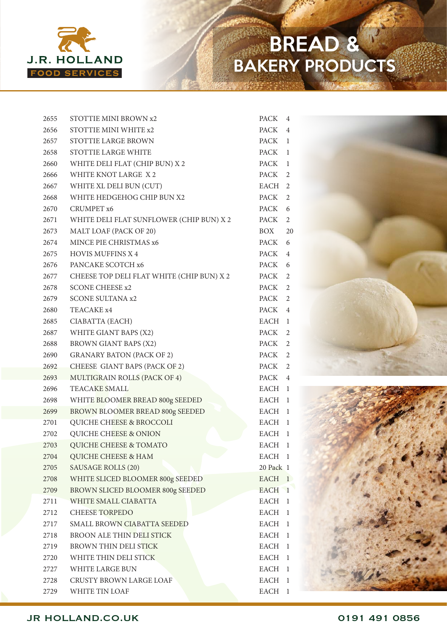

| 2655 | STOTTIE MINI BROWN x2                     | <b>PACK</b> | 4              |
|------|-------------------------------------------|-------------|----------------|
| 2656 | STOTTIE MINI WHITE x2                     | <b>PACK</b> | $\overline{4}$ |
| 2657 | <b>STOTTIE LARGE BROWN</b>                | PACK        | -1             |
| 2658 | STOTTIE LARGE WHITE                       | <b>PACK</b> | -1             |
| 2660 | WHITE DELI FLAT (CHIP BUN) X 2            | PACK        | 1              |
| 2666 | WHITE KNOT LARGE X 2                      | PACK        | 2              |
| 2667 | WHITE XL DELI BUN (CUT)                   | EACH        | 2              |
| 2668 | WHITE HEDGEHOG CHIP BUN X2                | PACK        | 2              |
| 2670 | CRUMPET <sub>x6</sub>                     | PACK        | 6              |
| 2671 | WHITE DELI FLAT SUNFLOWER (CHIP BUN) X 2  | PACK        | 2              |
| 2673 | MALT LOAF (PACK OF 20)                    | BOX         | 20             |
| 2674 | MINCE PIE CHRISTMAS x6                    | PACK        | 6              |
| 2675 | <b>HOVIS MUFFINS X 4</b>                  | PACK        | $\overline{4}$ |
| 2676 | PANCAKE SCOTCH x6                         | PACK        | 6              |
| 2677 | CHEESE TOP DELI FLAT WHITE (CHIP BUN) X 2 | PACK        | 2              |
| 2678 | <b>SCONE CHEESE x2</b>                    | PACK        | 2              |
| 2679 | <b>SCONE SULTANA x2</b>                   | PACK        | 2              |
| 2680 | TEACAKE x4                                | PACK        | $\overline{4}$ |
| 2685 | CIABATTA (EACH)                           | EACH        | -1             |
| 2687 | WHITE GIANT BAPS (X2)                     | PACK        | 2              |
| 2688 | BROWN GIANT BAPS (X2)                     | PACK        | 2              |
| 2690 | <b>GRANARY BATON (PACK OF 2)</b>          | PACK        | 2              |
| 2692 | CHEESE GIANT BAPS (PACK OF 2)             | PACK        | 2              |
| 2693 | MULTIGRAIN ROLLS (PACK OF 4)              | PACK        | $\overline{4}$ |
| 2696 | TEACAKE SMALL                             | EACH        | -1             |
| 2698 | WHITE BLOOMER BREAD 800g SEEDED           | <b>EACH</b> | - 1            |
| 2699 | BROWN BLOOMER BREAD 800g SEEDED           | <b>EACH</b> | -1             |
| 2701 | QUICHE CHEESE & BROCCOLI                  | <b>EACH</b> | 1              |
| 2702 | QUICHE CHEESE & ONION                     | EACH        | -1             |
| 2703 | QUICHE CHEESE & TOMATO                    | <b>EACH</b> | - 1            |
| 2704 | QUICHE CHEESE & HAM                       | <b>EACH</b> | -1             |
| 2705 | <b>SAUSAGE ROLLS (20)</b>                 | 20 Pack 1   |                |
| 2708 | WHITE SLICED BLOOMER 800g SEEDED          | <b>EACH</b> | -1             |
| 2709 | BROWN SLICED BLOOMER 800g SEEDED          | <b>EACH</b> | $\mathbf 1$    |
| 2711 | WHITE SMALL CIABATTA                      | <b>EACH</b> | 1              |
| 2712 | <b>CHEESE TORPEDO</b>                     | EACH        | 1              |
| 2717 | SMALL BROWN CIABATTA SEEDED               | <b>EACH</b> | 1              |
| 2718 | BROON ALE THIN DELI STICK                 | <b>EACH</b> | 1              |
| 2719 | <b>BROWN THIN DELI STICK</b>              | <b>EACH</b> | 1              |
| 2720 | WHITE THIN DELI STICK                     | EACH        | 1              |
| 2727 | WHITE LARGE BUN                           | <b>EACH</b> | 1              |
| 2728 | CRUSTY BROWN LARGE LOAF                   | <b>EACH</b> | 1              |
| 2729 | WHITE TIN LOAF                            | <b>EACH</b> | $\mathbf{1}$   |